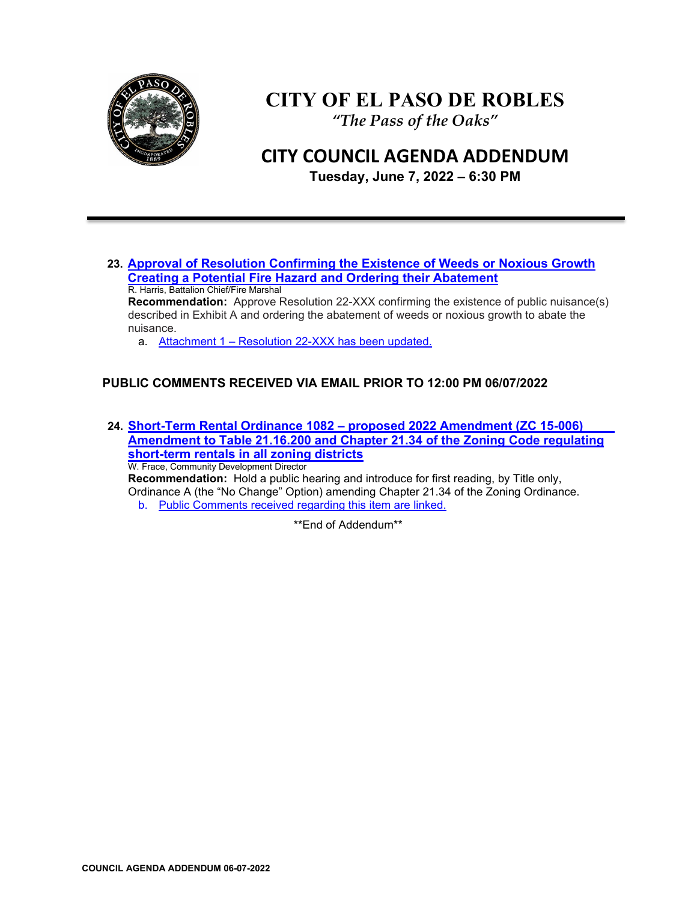

# **CITY OF EL PASO DE ROBLES**

*"The Pass of the Oaks"*

## **CITY COUNCIL AGENDA ADDENDUM**

**Tuesday, June 7, 2022 – 6:30 PM** 

**23. [Approval of Resolution Confirming the Existence of Weeds or Noxious Growth](https://www.prcity.com/DocumentCenter/View/33996/June-7-2022-City-Council-Agenda-Item-22-PDF)  [Creating a Potential Fire Hazard and Ordering their Abatement](https://www.prcity.com/DocumentCenter/View/33996/June-7-2022-City-Council-Agenda-Item-22-PDF)** R. Harris, Battalion Chief/Fire Marshal **Recommendation:** Approve Resolution 22-XXX confirming the existence of public nuisance(s) described in Exhibit A and ordering the abatement of weeds or noxious growth to abate the nuisance.

a. Attachment 1 – [Resolution 22-XXX has been updated.](https://www.prcity.com/DocumentCenter/View/34031/2022-06-07-City-Council-Meeting-Agenda-Addendum---Item-22---Attachment-1---Updated-Resolution-22-XXXPDF) 

## **PUBLIC COMMENTS RECEIVED VIA EMAIL PRIOR TO 12:00 PM 06/07/2022**

**24. Short-Term Rental Ordinance 1082 – [proposed 2022 Amendment \(ZC 15-006\)](https://www.prcity.com/DocumentCenter/View/33997/June-7-2022-City-Council-Agenda-Item-23-PDF) [Amendment to Table 21.16.200 and Chapter 21.34 of the Zoning Code regulating](https://www.prcity.com/DocumentCenter/View/33997/June-7-2022-City-Council-Agenda-Item-23-PDF)  [short-term rentals in all zoning districts](https://www.prcity.com/DocumentCenter/View/33997/June-7-2022-City-Council-Agenda-Item-23-PDF)** W. Frace, Community Development Director **Recommendation:** Hold a public hearing and introduce for first reading, by Title only,

Ordinance A (the "No Change" Option) amending Chapter 21.34 of the Zoning Ordinance. b. [Public Comments received regarding this item are linked.](https://www.prcity.com/DocumentCenter/View/34030/2022-06-07-City-Council-Meeting-Agenda-Addendum---Item-23-Public-Comments-PDF)

\*\*End of Addendum\*\*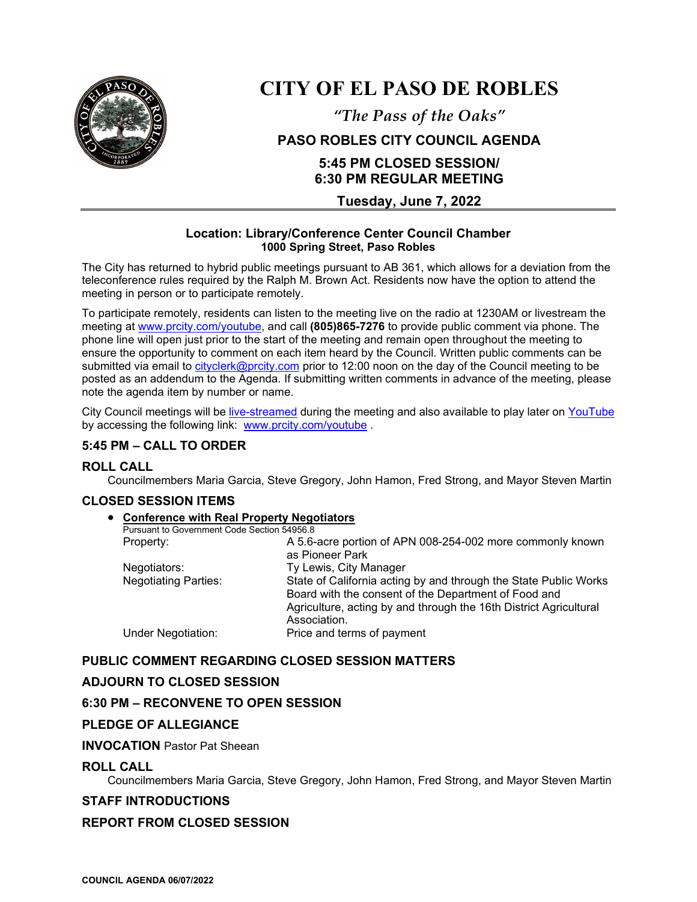

## **CITY OF EL PASO DE ROBLES**

*"The Pass of the Oaks"*

## **PASO ROBLES CITY COUNCIL AGENDA**

## **5:45 PM CLOSED SESSION/ 6:30 PM REGULAR MEETING**

**Tuesday, June 7, 2022**

#### **Location: Library/Conference Center Council Chamber 1000 Spring Street, Paso Robles**

The City has returned to hybrid public meetings pursuant to AB 361, which allows for a deviation from the teleconference rules required by the Ralph M. Brown Act. Residents now have the option to attend the meeting in person or to participate remotely.

To participate remotely, residents can listen to the meeting live on the radio at 1230AM or livestream the meeting at [www.prcity.com/youtube,](http://www.prcity.com/youtube) and call **(805)865-7276** to provide public comment via phone. The phone line will open just prior to the start of the meeting and remain open throughout the meeting to ensure the opportunity to comment on each item heard by the Council. Written public comments can be submitted via email to [cityclerk@prcity.com](mailto:cityclerk@prcity.com) prior to 12:00 noon on the day of the Council meeting to be posted as an addendum to the Agenda. If submitting written comments in advance of the meeting, please note the agenda item by number or name.

City Council meetings will be [live-streamed](https://www.youtube.com/channel/UCxElWtI1YhkPr6KI552RDuw) during the meeting and also available to play later on [YouTube](https://www.youtube.com/channel/UCxElWtI1YhkPr6KI552RDuw) by accessing the following link: [www.prcity.com/youtube](http://www.prcity.com/youtube) .

## **5:45 PM – CALL TO ORDER**

## **ROLL CALL**

Councilmembers Maria Garcia, Steve Gregory, John Hamon, Fred Strong, and Mayor Steven Martin

#### **CLOSED SESSION ITEMS**

#### • **Conference with Real Property Negotiators**

|  | Pursuant to Government Code Section 54956.8 |                                                                   |
|--|---------------------------------------------|-------------------------------------------------------------------|
|  | Property:                                   | A 5.6-acre portion of APN 008-254-002 more commonly known         |
|  |                                             | as Pioneer Park                                                   |
|  | Negotiators:                                | Ty Lewis, City Manager                                            |
|  | <b>Negotiating Parties:</b>                 | State of California acting by and through the State Public Works  |
|  |                                             | Board with the consent of the Department of Food and              |
|  |                                             | Agriculture, acting by and through the 16th District Agricultural |
|  |                                             | Association.                                                      |
|  | Under Negotiation:                          | Price and terms of payment                                        |
|  |                                             |                                                                   |

## **PUBLIC COMMENT REGARDING CLOSED SESSION MATTERS**

## **ADJOURN TO CLOSED SESSION**

#### **6:30 PM – RECONVENE TO OPEN SESSION**

#### **PLEDGE OF ALLEGIANCE**

#### **INVOCATION** Pastor Pat Sheean

#### **ROLL CALL**

Councilmembers Maria Garcia, Steve Gregory, John Hamon, Fred Strong, and Mayor Steven Martin

#### **STAFF INTRODUCTIONS**

#### **REPORT FROM CLOSED SESSION**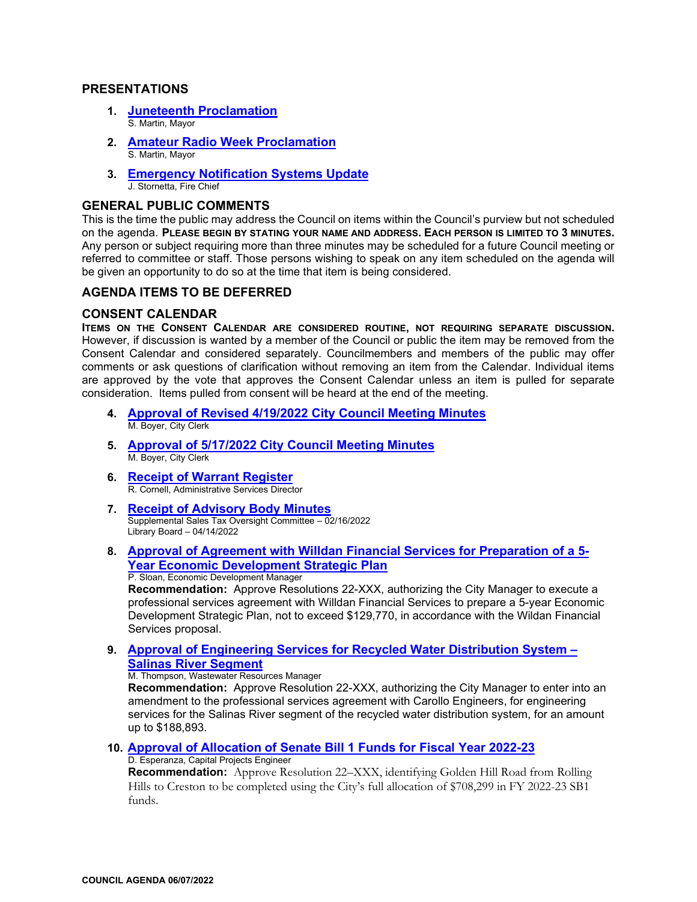#### **PRESENTATIONS**

- **1. [Juneteenth Proclamation](https://www.prcity.com/DocumentCenter/View/34002/June-7-2022-City-Council-Agenda-Item-01-PDF)**  S. Martin, Mayor
- **2. [Amateur Radio Week Proclamation](https://www.prcity.com/DocumentCenter/View/34003/June-7-2022-City-Council-Agenda-Item-02-PDF)**  S. Martin, Mayor
- **3. [Emergency Notification Systems Update](https://www.prcity.com/DocumentCenter/View/34004/June-7-2022-City-Council-Agenda-Item-03-PDF)**  J. Stornetta, Fire Chief

#### **GENERAL PUBLIC COMMENTS**

This is the time the public may address the Council on items within the Council's purview but not scheduled on the agenda. **PLEASE BEGIN BY STATING YOUR NAME AND ADDRESS. EACH PERSON IS LIMITED TO 3 MINUTES.** Any person or subject requiring more than three minutes may be scheduled for a future Council meeting or referred to committee or staff. Those persons wishing to speak on any item scheduled on the agenda will be given an opportunity to do so at the time that item is being considered.

#### **AGENDA ITEMS TO BE DEFERRED**

#### **CONSENT CALENDAR**

**ITEMS ON THE CONSENT CALENDAR ARE CONSIDERED ROUTINE, NOT REQUIRING SEPARATE DISCUSSION.** However, if discussion is wanted by a member of the Council or public the item may be removed from the Consent Calendar and considered separately. Councilmembers and members of the public may offer comments or ask questions of clarification without removing an item from the Calendar. Individual items are approved by the vote that approves the Consent Calendar unless an item is pulled for separate consideration. Items pulled from consent will be heard at the end of the meeting.

- **4. [Approval of Revised 4/19/2022 City Council Meeting Minutes](https://www.prcity.com/DocumentCenter/View/34005/June-7-2022-City-Council-Agenda-Item-04-PDF)**  M. Boyer, City Clerk
- **5. [Approval of 5/17/2022 City Council Meeting Minutes](https://www.prcity.com/DocumentCenter/View/34006/June-7-2022-City-Council-Agenda-Item-05-PDF)**  M. Boyer, City Clerk
- **6. Receipt [of Warrant Register](https://www.prcity.com/DocumentCenter/View/34007/June-7-2022-City-Council-Agenda-Item-06-PDF)**R. Cornell, Administrative Services Director
- **7. [Receipt of Advisory Body Minutes](https://www.prcity.com/DocumentCenter/View/34008/June-7-2022-City-Council-Agenda-Item-07-PDF)** Supplemental Sales Tax Oversight Committee – 02/16/2022 Library Board – 04/14/2022
- **8. [Approval of Agreement with Willdan Financial Services for Preparation of a 5-](https://www.prcity.com/DocumentCenter/View/34009/June-7-2022-City-Council-Agenda-Item-08-PDF) [Year Economic Development Strategic Plan](https://www.prcity.com/DocumentCenter/View/34009/June-7-2022-City-Council-Agenda-Item-08-PDF)** P. Sloan, Economic Development Manager

**Recommendation:** Approve Resolutions 22-XXX, authorizing the City Manager to execute a professional services agreement with Willdan Financial Services to prepare a 5-year Economic Development Strategic Plan, not to exceed \$129,770, in accordance with the Wildan Financial Services proposal.

**9. [Approval of Engineering Services for Recycled Water Distribution System –](https://www.prcity.com/DocumentCenter/View/34010/June-7-2022-City-Council-Agenda-Item-09-PDF)  [Salinas River Segment](https://www.prcity.com/DocumentCenter/View/34010/June-7-2022-City-Council-Agenda-Item-09-PDF)**

M. Thompson, Wastewater Resources Manager

**Recommendation:** Approve Resolution 22-XXX, authorizing the City Manager to enter into an amendment to the professional services agreement with Carollo Engineers, for engineering services for the Salinas River segment of the recycled water distribution system, for an amount up to \$188,893.

**10. [Approval of Allocation of Senate Bill 1 Funds for Fiscal Year 2022-23](https://www.prcity.com/DocumentCenter/View/34011/June-7-2022-City-Council-Agenda-Item-10-PDF)**

D. Esperanza, Capital Projects Engineer

**Recommendation:** Approve Resolution 22–XXX, identifying Golden Hill Road from Rolling Hills to Creston to be completed using the City's full allocation of \$708,299 in FY 2022-23 SB1 funds.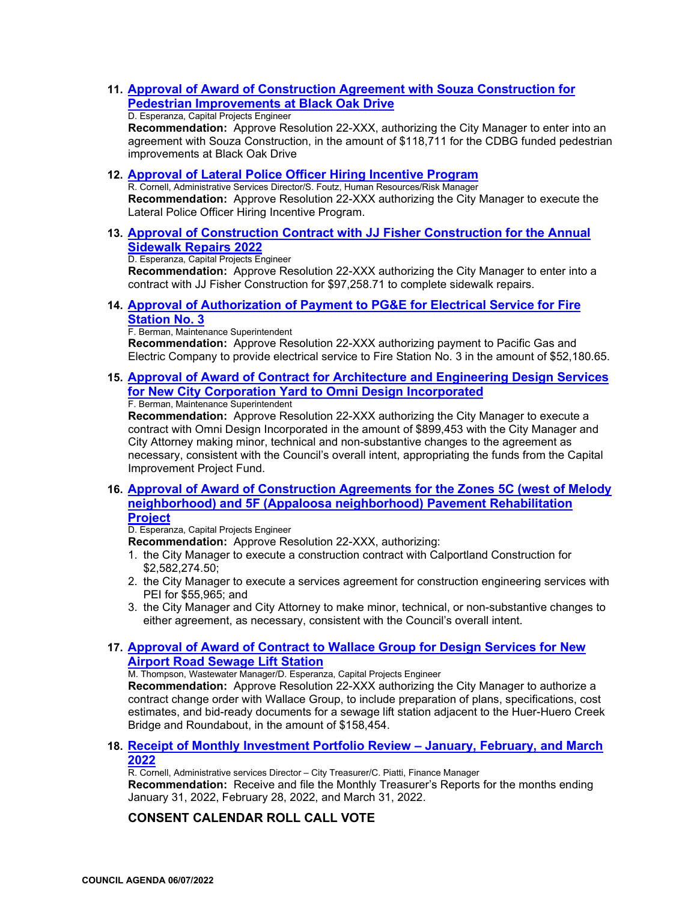**11. [Approval of Award of Construction Agreement with Souza Construction for](https://www.prcity.com/DocumentCenter/View/34012/June-7-2022-City-Council-Agenda-Item-11-PDF)  [Pedestrian Improvements at Black Oak Drive](https://www.prcity.com/DocumentCenter/View/34012/June-7-2022-City-Council-Agenda-Item-11-PDF)**

#### D. Esperanza, Capital Projects Engineer

**Recommendation:** Approve Resolution 22-XXX, authorizing the City Manager to enter into an agreement with Souza Construction, in the amount of \$118,711 for the CDBG funded pedestrian improvements at Black Oak Drive

#### **12. [Approval of Lateral Police Officer Hiring Incentive Program](https://www.prcity.com/DocumentCenter/View/34013/June-7-2022-City-Council-Agenda-Item-12-PDF)**

R. Cornell, Administrative Services Director/S. Foutz, Human Resources/Risk Manager **Recommendation:** Approve Resolution 22-XXX authorizing the City Manager to execute the Lateral Police Officer Hiring Incentive Program.

**13. [Approval of Construction Contract with JJ Fisher Construction for the Annual](https://www.prcity.com/DocumentCenter/View/34014/June-7-2022-City-Council-Agenda-Item-13-PDF)  [Sidewalk Repairs 2022](https://www.prcity.com/DocumentCenter/View/34014/June-7-2022-City-Council-Agenda-Item-13-PDF)**

D. Esperanza, Capital Projects Engineer

**Recommendation:** Approve Resolution 22-XXX authorizing the City Manager to enter into a contract with JJ Fisher Construction for \$97,258.71 to complete sidewalk repairs.

**14. [Approval of Authorization of Payment to PG&E for Electrical Service for Fire](https://www.prcity.com/DocumentCenter/View/34015/June-7-2022-City-Council-Agenda-Item-14-PDF)  [Station No. 3](https://www.prcity.com/DocumentCenter/View/34015/June-7-2022-City-Council-Agenda-Item-14-PDF)**

#### F. Berman, Maintenance Superintendent

**Recommendation:** Approve Resolution 22-XXX authorizing payment to Pacific Gas and Electric Company to provide electrical service to Fire Station No. 3 in the amount of \$52,180.65.

**15. [Approval of Award of Contract for Architecture and Engineering Design Services](https://www.prcity.com/DocumentCenter/View/34016/June-7-2022-City-Council-Agenda-Item-15-PDF)  [for New City Corporation Yard to Omni Design Incorporated](https://www.prcity.com/DocumentCenter/View/34016/June-7-2022-City-Council-Agenda-Item-15-PDF)** F. Berman, Maintenance Superintendent

**Recommendation:** Approve Resolution 22-XXX authorizing the City Manager to execute a contract with Omni Design Incorporated in the amount of \$899,453 with the City Manager and City Attorney making minor, technical and non-substantive changes to the agreement as necessary, consistent with the Council's overall intent, appropriating the funds from the Capital Improvement Project Fund.

**16. [Approval of Award of Construction Agreements for the Zones 5C \(west of Melody](https://www.prcity.com/DocumentCenter/View/34017/June-7-2022-City-Council-Agenda-Item-16-PDF)  [neighborhood\) and 5F \(Appaloosa neighborhood\) Pavement Rehabilitation](https://www.prcity.com/DocumentCenter/View/34017/June-7-2022-City-Council-Agenda-Item-16-PDF)  [Project](https://www.prcity.com/DocumentCenter/View/34017/June-7-2022-City-Council-Agenda-Item-16-PDF)**

D. Esperanza, Capital Projects Engineer

- **Recommendation:** Approve Resolution 22-XXX, authorizing:
- 1. the City Manager to execute a construction contract with Calportland Construction for \$2,582,274.50;
- 2. the City Manager to execute a services agreement for construction engineering services with PEI for \$55,965; and
- 3. the City Manager and City Attorney to make minor, technical, or non-substantive changes to either agreement, as necessary, consistent with the Council's overall intent.

#### **17. [Approval of Award of Contract to Wallace Group for Design Services for New](https://www.prcity.com/DocumentCenter/View/34018/June-7-2022-City-Council-Agenda-Item-17-PDF)  [Airport Road Sewage Lift Station](https://www.prcity.com/DocumentCenter/View/34018/June-7-2022-City-Council-Agenda-Item-17-PDF)**

M. Thompson, Wastewater Manager/D. Esperanza, Capital Projects Engineer

**Recommendation:** Approve Resolution 22-XXX authorizing the City Manager to authorize a contract change order with Wallace Group, to include preparation of plans, specifications, cost estimates, and bid-ready documents for a sewage lift station adjacent to the Huer-Huero Creek Bridge and Roundabout, in the amount of \$158,454.

#### **18. [Receipt of Monthly Investment Portfolio Review – January, February, and March](https://www.prcity.com/DocumentCenter/View/34019/June-7-2022-City-Council-Agenda-Item-18-PDF)  [2022](https://www.prcity.com/DocumentCenter/View/34019/June-7-2022-City-Council-Agenda-Item-18-PDF)**

R. Cornell, Administrative services Director – City Treasurer/C. Piatti, Finance Manager **Recommendation:** Receive and file the Monthly Treasurer's Reports for the months ending January 31, 2022, February 28, 2022, and March 31, 2022.

## **CONSENT CALENDAR ROLL CALL VOTE**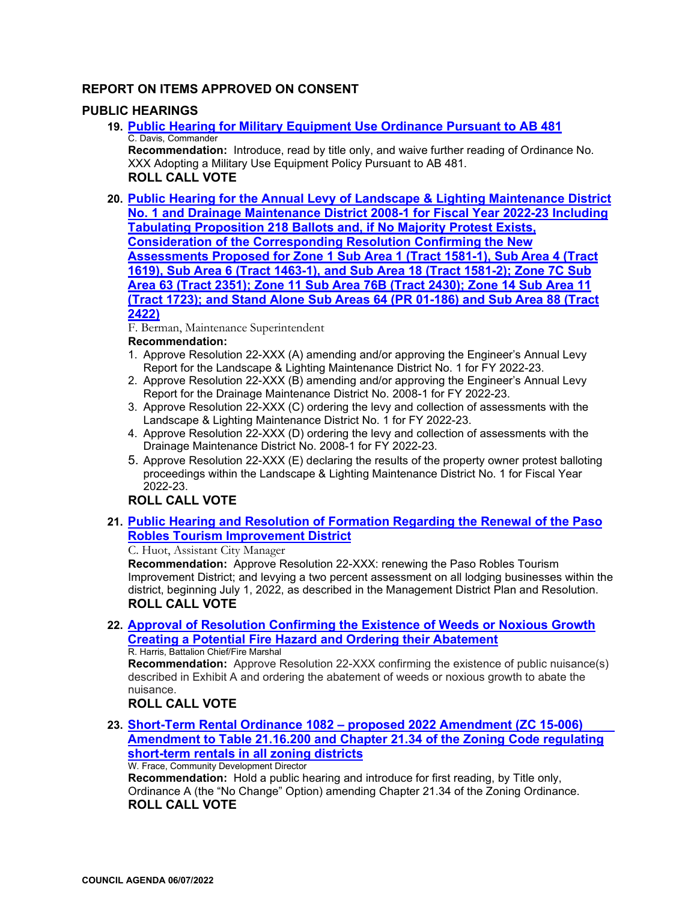## **REPORT ON ITEMS APPROVED ON CONSENT**

#### **PUBLIC HEARINGS**

**19. [Public Hearing for Military Equipment Use Ordinance Pursuant to AB 481](https://www.prcity.com/DocumentCenter/View/34020/June-7-2022-City-Council-Agenda-Item-19-PDF)** C. Davis, Commander

**Recommendation:** Introduce, read by title only, and waive further reading of Ordinance No. XXX Adopting a Military Use Equipment Policy Pursuant to AB 481. **ROLL CALL VOTE**

**20. [Public Hearing for the Annual Levy of Landscape & Lighting Maintenance District](https://www.prcity.com/DocumentCenter/View/34021/June-7-2022-City-Council-Agenda-Item-20-PDF)  [No. 1 and Drainage Maintenance District 2008-1 for Fiscal Year 2022-23 Including](https://www.prcity.com/DocumentCenter/View/34021/June-7-2022-City-Council-Agenda-Item-20-PDF)  [Tabulating Proposition 218 Ballots and, if No Majority Protest Exists,](https://www.prcity.com/DocumentCenter/View/34021/June-7-2022-City-Council-Agenda-Item-20-PDF)  [Consideration of the Corresponding Resolution Confirming the New](https://www.prcity.com/DocumentCenter/View/34021/June-7-2022-City-Council-Agenda-Item-20-PDF)  [Assessments Proposed for Zone 1 Sub Area 1 \(Tract 1581-1\), Sub Area 4 \(Tract](https://www.prcity.com/DocumentCenter/View/34021/June-7-2022-City-Council-Agenda-Item-20-PDF)  [1619\), Sub Area 6 \(Tract 1463-1\), and Sub Area 18 \(Tract 1581-2\); Zone 7C Sub](https://www.prcity.com/DocumentCenter/View/34021/June-7-2022-City-Council-Agenda-Item-20-PDF)  [Area 63 \(Tract 2351\); Zone 11 Sub Area 76B \(Tract 2430\); Zone 14 Sub Area 11](https://www.prcity.com/DocumentCenter/View/34021/June-7-2022-City-Council-Agenda-Item-20-PDF)  [\(Tract 1723\); and Stand Alone Sub Areas 64 \(PR 01-186\) and Sub Area 88 \(Tract](https://www.prcity.com/DocumentCenter/View/34021/June-7-2022-City-Council-Agenda-Item-20-PDF)  [2422\)](https://www.prcity.com/DocumentCenter/View/34021/June-7-2022-City-Council-Agenda-Item-20-PDF)**

F. Berman, Maintenance Superintendent

#### **Recommendation:**

- 1. Approve Resolution 22-XXX (A) amending and/or approving the Engineer's Annual Levy Report for the Landscape & Lighting Maintenance District No. 1 for FY 2022-23.
- 2. Approve Resolution 22-XXX (B) amending and/or approving the Engineer's Annual Levy Report for the Drainage Maintenance District No. 2008-1 for FY 2022-23.
- 3. Approve Resolution 22-XXX (C) ordering the levy and collection of assessments with the Landscape & Lighting Maintenance District No. 1 for FY 2022-23.
- 4. Approve Resolution 22-XXX (D) ordering the levy and collection of assessments with the Drainage Maintenance District No. 2008-1 for FY 2022-23.
- 5. Approve Resolution 22-XXX (E) declaring the results of the property owner protest balloting proceedings within the Landscape & Lighting Maintenance District No. 1 for Fiscal Year 2022-23.

## **ROLL CALL VOTE**

**21. [Public Hearing and Resolution of Formation Regarding the Renewal of the Paso](https://www.prcity.com/DocumentCenter/View/34022/June-7-2022-City-Council-Agenda-Item-21-PDF)  [Robles Tourism Improvement District](https://www.prcity.com/DocumentCenter/View/34022/June-7-2022-City-Council-Agenda-Item-21-PDF)**

C. Huot, Assistant City Manager

**Recommendation:** Approve Resolution 22-XXX: renewing the Paso Robles Tourism Improvement District; and levying a two percent assessment on all lodging businesses within the district, beginning July 1, 2022, as described in the Management District Plan and Resolution. **ROLL CALL VOTE**

**22. [Approval of Resolution Confirming the Existence of Weeds or Noxious Growth](https://www.prcity.com/DocumentCenter/View/33996/June-7-2022-City-Council-Agenda-Item-22-PDF)  [Creating a Potential Fire Hazard and Ordering their Abatement](https://www.prcity.com/DocumentCenter/View/33996/June-7-2022-City-Council-Agenda-Item-22-PDF)** R. Harris, Battalion Chief/Fire Marshal

**Recommendation:** Approve Resolution 22-XXX confirming the existence of public nuisance(s) described in Exhibit A and ordering the abatement of weeds or noxious growth to abate the nuisance.

## **ROLL CALL VOTE**

**23. [Short-Term Rental Ordinance 1082 – proposed 2022 Amendment \(ZC 15-006\)](https://www.prcity.com/DocumentCenter/View/33997/June-7-2022-City-Council-Agenda-Item-23-PDF)  [Amendment to Table 21.16.200 and Chapter 21.34 of the Zoning Code regulating](https://www.prcity.com/DocumentCenter/View/33997/June-7-2022-City-Council-Agenda-Item-23-PDF)  [short-term rentals in all zoning districts](https://www.prcity.com/DocumentCenter/View/33997/June-7-2022-City-Council-Agenda-Item-23-PDF)** W. Frace, Community Development Director

**Recommendation:** Hold a public hearing and introduce for first reading, by Title only, Ordinance A (the "No Change" Option) amending Chapter 21.34 of the Zoning Ordinance. **ROLL CALL VOTE**